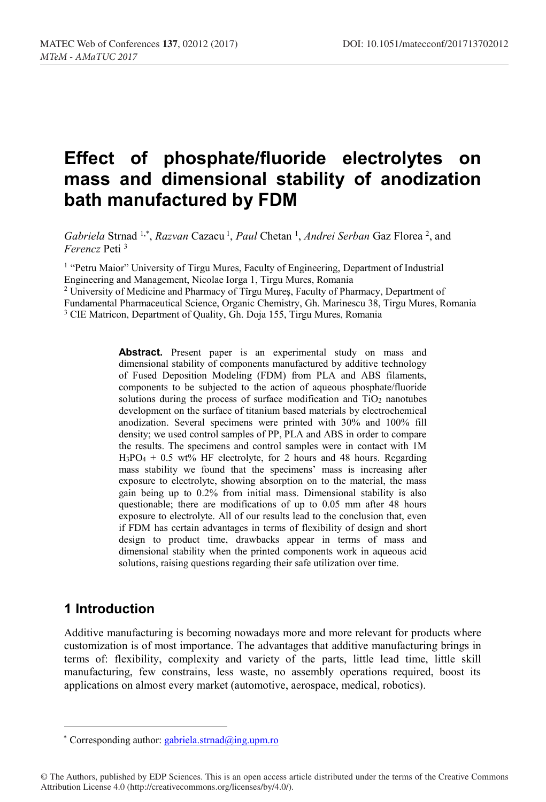# **Effect of phosphate/fluoride electrolytes on mass and dimensional stability of anodization bath manufactured by FDM**

Gabriela Strnad <sup>1,\*</sup>, *Razvan* Cazacu<sup>1</sup>, *Paul* Chetan<sup>1</sup>, *Andrei Serban* Gaz Florea<sup>2</sup>, and *Ferencz* Peti 3

<sup>1</sup> "Petru Maior" University of Tirgu Mures, Faculty of Engineering, Department of Industrial Engineering and Management, Nicolae Iorga 1, Tirgu Mures, Romania

<sup>2</sup> University of Medicine and Pharmacy of Tîrgu Mureş, Faculty of Pharmacy, Department of Fundamental Pharmaceutical Science, Organic Chemistry, Gh. Marinescu 38, Tirgu Mures, Romania <sup>3</sup> CIE Matricon, Department of Quality, Gh. Doja 155, Tirgu Mures, Romania

> Abstract. Present paper is an experimental study on mass and dimensional stability of components manufactured by additive technology of Fused Deposition Modeling (FDM) from PLA and ABS filaments, components to be subjected to the action of aqueous phosphate/fluoride solutions during the process of surface modification and TiO<sub>2</sub> nanotubes development on the surface of titanium based materials by electrochemical anodization. Several specimens were printed with 30% and 100% fill density; we used control samples of PP, PLA and ABS in order to compare the results. The specimens and control samples were in contact with 1M  $H_3PO_4 + 0.5$  wt% HF electrolyte, for 2 hours and 48 hours. Regarding mass stability we found that the specimens' mass is increasing after exposure to electrolyte, showing absorption on to the material, the mass gain being up to 0.2% from initial mass. Dimensional stability is also questionable; there are modifications of up to 0.05 mm after 48 hours exposure to electrolyte. All of our results lead to the conclusion that, even if FDM has certain advantages in terms of flexibility of design and short design to product time, drawbacks appear in terms of mass and dimensional stability when the printed components work in aqueous acid solutions, raising questions regarding their safe utilization over time.

# **1 Introduction**

Additive manufacturing is becoming nowadays more and more relevant for products where customization is of most importance. The advantages that additive manufacturing brings in terms of: flexibility, complexity and variety of the parts, little lead time, little skill manufacturing, few constrains, less waste, no assembly operations required, boost its applications on almost every market (automotive, aerospace, medical, robotics).

\* Corresponding author: gabriela.strnad $\omega$ ing.upm.ro

<sup>©</sup> The Authors, published by EDP Sciences. This is an open access article distributed under the terms of the Creative Commons Attribution License 4.0 (http://creativecommons.org/licenses/by/4.0/).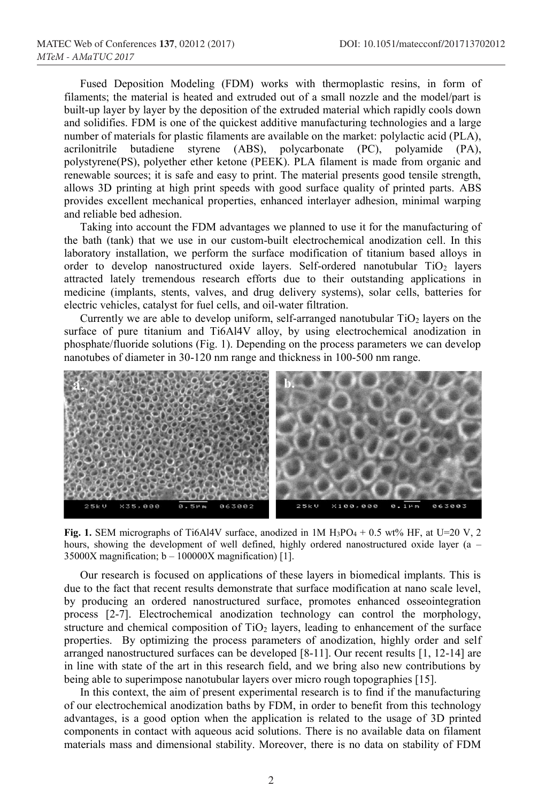Fused Deposition Modeling (FDM) works with thermoplastic resins, in form of filaments; the material is heated and extruded out of a small nozzle and the model/part is built-up layer by layer by the deposition of the extruded material which rapidly cools down and solidifies. FDM is one of the quickest additive manufacturing technologies and a large number of materials for plastic filaments are available on the market: polylactic acid (PLA), acrilonitrile butadiene styrene (ABS), polycarbonate (PC), polyamide (PA), polystyrene(PS), polyether ether ketone (PEEK). PLA filament is made from organic and renewable sources; it is safe and easy to print. The material presents good tensile strength, allows 3D printing at high print speeds with good surface quality of printed parts. ABS provides excellent mechanical properties, enhanced interlayer adhesion, minimal warping and reliable bed adhesion.

Taking into account the FDM advantages we planned to use it for the manufacturing of the bath (tank) that we use in our custom-built electrochemical anodization cell. In this laboratory installation, we perform the surface modification of titanium based alloys in order to develop nanostructured oxide layers. Self-ordered nanotubular TiO<sub>2</sub> layers attracted lately tremendous research efforts due to their outstanding applications in medicine (implants, stents, valves, and drug delivery systems), solar cells, batteries for electric vehicles, catalyst for fuel cells, and oil-water filtration.

Currently we are able to develop uniform, self-arranged nanotubular  $TiO<sub>2</sub>$  layers on the surface of pure titanium and Ti6Al4V alloy, by using electrochemical anodization in phosphate/fluoride solutions (Fig. 1). Depending on the process parameters we can develop nanotubes of diameter in 30-120 nm range and thickness in 100-500 nm range.



**Fig. 1.** SEM micrographs of Ti6Al4V surface, anodized in  $1M H_3PO_4 + 0.5$  wt% HF, at U=20 V, 2 hours, showing the development of well defined, highly ordered nanostructured oxide layer (a – 35000X magnification;  $b - 100000X$  magnification) [1].

Our research is focused on applications of these layers in biomedical implants. This is due to the fact that recent results demonstrate that surface modification at nano scale level, by producing an ordered nanostructured surface, promotes enhanced osseointegration process [2-7]. Electrochemical anodization technology can control the morphology, structure and chemical composition of  $TiO<sub>2</sub>$  layers, leading to enhancement of the surface properties. By optimizing the process parameters of anodization, highly order and self arranged nanostructured surfaces can be developed [8-11]. Our recent results [1, 12-14] are in line with state of the art in this research field, and we bring also new contributions by being able to superimpose nanotubular layers over micro rough topographies [15].

In this context, the aim of present experimental research is to find if the manufacturing of our electrochemical anodization baths by FDM, in order to benefit from this technology advantages, is a good option when the application is related to the usage of 3D printed components in contact with aqueous acid solutions. There is no available data on filament materials mass and dimensional stability. Moreover, there is no data on stability of FDM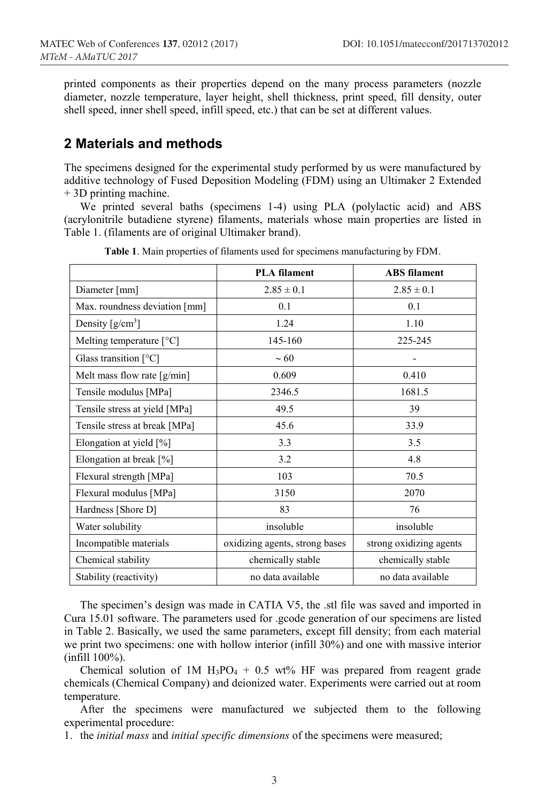printed components as their properties depend on the many process parameters (nozzle diameter, nozzle temperature, layer height, shell thickness, print speed, fill density, outer shell speed, inner shell speed, infill speed, etc.) that can be set at different values.

#### **2 Materials and methods**

The specimens designed for the experimental study performed by us were manufactured by additive technology of Fused Deposition Modeling (FDM) using an Ultimaker 2 Extended + 3D printing machine.

We printed several baths (specimens 1-4) using PLA (polylactic acid) and ABS (acrylonitrile butadiene styrene) filaments, materials whose main properties are listed in Table 1. (filaments are of original Ultimaker brand).

|                                              | <b>PLA</b> filament            | <b>ABS</b> filament     |  |
|----------------------------------------------|--------------------------------|-------------------------|--|
| Diameter [mm]                                | $2.85 \pm 0.1$                 | $2.85 \pm 0.1$          |  |
| Max. roundness deviation [mm]                | 0.1                            | 0.1                     |  |
| Density $[g/cm^3]$                           | 1.24                           | 1.10                    |  |
| Melting temperature $[^{\circ}C]$            | 145-160                        | 225-245                 |  |
| Glass transition $\lceil {^{\circ}C} \rceil$ | $~1$ 60                        |                         |  |
| Melt mass flow rate $[g/min]$                | 0.609                          | 0.410                   |  |
| Tensile modulus [MPa]                        | 2346.5                         | 1681.5                  |  |
| Tensile stress at yield [MPa]                | 49.5                           | 39                      |  |
| Tensile stress at break [MPa]                | 45.6                           | 33.9                    |  |
| Elongation at yield [%]                      | 3.3                            | 3.5                     |  |
| Elongation at break [%]                      | 3.2                            | 4.8                     |  |
| Flexural strength [MPa]                      | 103                            | 70.5                    |  |
| Flexural modulus [MPa]                       | 3150                           | 2070                    |  |
| Hardness [Shore D]                           | 83                             | 76                      |  |
| Water solubility                             | insoluble                      | insoluble               |  |
| Incompatible materials                       | oxidizing agents, strong bases | strong oxidizing agents |  |
| Chemical stability                           | chemically stable              | chemically stable       |  |
| Stability (reactivity)                       | no data available              | no data available       |  |

**Table 1**. Main properties of filaments used for specimens manufacturing by FDM.

The specimen's design was made in CATIA V5, the .stl file was saved and imported in Cura 15.01 software. The parameters used for .gcode generation of our specimens are listed in Table 2. Basically, we used the same parameters, except fill density; from each material we print two specimens: one with hollow interior (infill 30%) and one with massive interior (infill 100%).

Chemical solution of 1M  $H_3PO_4 + 0.5$  wt% HF was prepared from reagent grade chemicals (Chemical Company) and deionized water. Experiments were carried out at room temperature.

After the specimens were manufactured we subjected them to the following experimental procedure:

1. the *initial mass* and *initial specific dimensions* of the specimens were measured;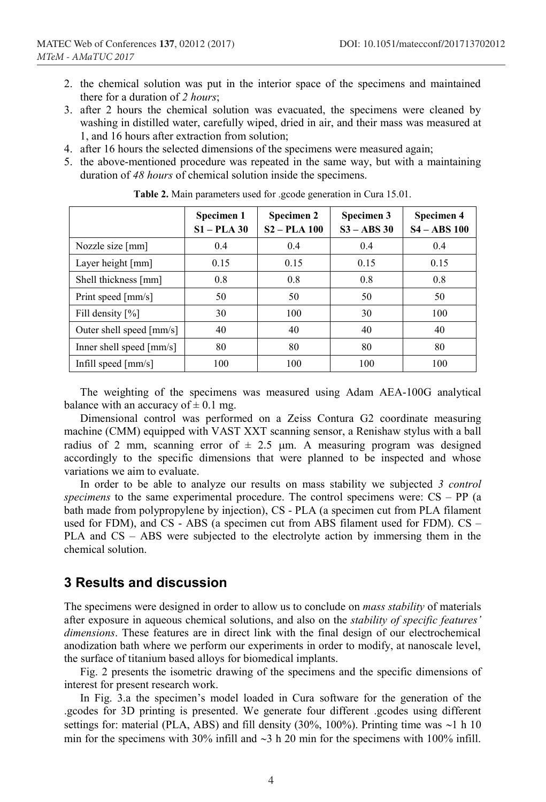- 2. the chemical solution was put in the interior space of the specimens and maintained there for a duration of *2 hours*;
- 3. after 2 hours the chemical solution was evacuated, the specimens were cleaned by washing in distilled water, carefully wiped, dried in air, and their mass was measured at 1, and 16 hours after extraction from solution;
- 4. after 16 hours the selected dimensions of the specimens were measured again;
- 5. the above-mentioned procedure was repeated in the same way, but with a maintaining duration of *48 hours* of chemical solution inside the specimens.

|                                       | Specimen 1<br>$S1 - PLA$ 30 | Specimen 2<br>$S2 - PLA$ 100 | Specimen 3<br>$S3 - ABS30$ | Specimen 4<br>$S4 - ABS100$ |
|---------------------------------------|-----------------------------|------------------------------|----------------------------|-----------------------------|
| Nozzle size [mm]                      | 0.4                         | 0.4                          | 0.4                        | 0.4                         |
| Layer height [mm]                     | 0.15                        | 0.15                         | 0.15                       | 0.15                        |
| Shell thickness [mm]                  | 0.8                         | 0.8                          | 0.8                        | 0.8                         |
| Print speed [mm/s]                    | 50                          | 50                           | 50                         | 50                          |
| Fill density $[\%]$                   | 30                          | 100                          | 30                         | 100                         |
| Outer shell speed [mm/s]              | 40                          | 40                           | 40                         | 40                          |
| Inner shell speed [mm/s]              | 80                          | 80                           | 80                         | 80                          |
| Infill speed $\lfloor$ mm/s $\rfloor$ | 100                         | 100                          | 100                        | 100                         |

**Table 2.** Main parameters used for .gcode generation in Cura 15.01.

The weighting of the specimens was measured using Adam AEA-100G analytical balance with an accuracy of  $\pm$  0.1 mg.

Dimensional control was performed on a Zeiss Contura G2 coordinate measuring machine (CMM) equipped with VAST XXT scanning sensor, a Renishaw stylus with a ball radius of 2 mm, scanning error of  $\pm$  2.5 µm. A measuring program was designed accordingly to the specific dimensions that were planned to be inspected and whose variations we aim to evaluate.

In order to be able to analyze our results on mass stability we subjected *3 control specimens* to the same experimental procedure. The control specimens were: CS – PP (a bath made from polypropylene by injection), CS - PLA (a specimen cut from PLA filament used for FDM), and CS - ABS (a specimen cut from ABS filament used for FDM).  $CS -$ PLA and CS – ABS were subjected to the electrolyte action by immersing them in the chemical solution.

## **3 Results and discussion**

The specimens were designed in order to allow us to conclude on *mass stability* of materials after exposure in aqueous chemical solutions, and also on the *stability of specific features' dimensions*. These features are in direct link with the final design of our electrochemical anodization bath where we perform our experiments in order to modify, at nanoscale level, the surface of titanium based alloys for biomedical implants.

Fig. 2 presents the isometric drawing of the specimens and the specific dimensions of interest for present research work.

In Fig. 3.a the specimen's model loaded in Cura software for the generation of the .gcodes for 3D printing is presented. We generate four different .gcodes using different settings for: material (PLA, ABS) and fill density (30%, 100%). Printing time was  $\sim$ 1 h 10 min for the specimens with 30% infill and  $\sim$ 3 h 20 min for the specimens with 100% infill.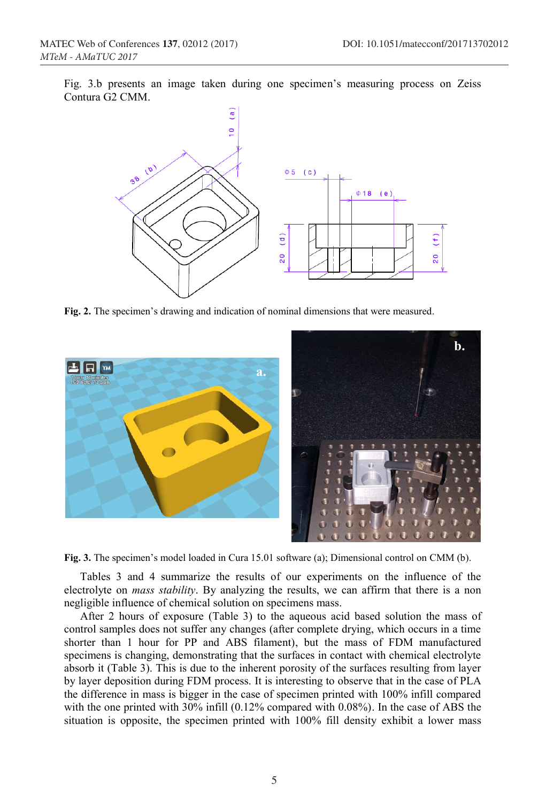Fig. 3.b presents an image taken during one specimen's measuring process on Zeiss Contura G2 CMM.



**Fig. 2.** The specimen's drawing and indication of nominal dimensions that were measured.



**Fig. 3.** The specimen's model loaded in Cura 15.01 software (a); Dimensional control on CMM (b).

Tables 3 and 4 summarize the results of our experiments on the influence of the electrolyte on *mass stability*. By analyzing the results, we can affirm that there is a non negligible influence of chemical solution on specimens mass.

After 2 hours of exposure (Table 3) to the aqueous acid based solution the mass of control samples does not suffer any changes (after complete drying, which occurs in a time shorter than 1 hour for PP and ABS filament), but the mass of FDM manufactured specimens is changing, demonstrating that the surfaces in contact with chemical electrolyte absorb it (Table 3). This is due to the inherent porosity of the surfaces resulting from layer by layer deposition during FDM process. It is interesting to observe that in the case of PLA the difference in mass is bigger in the case of specimen printed with 100% infill compared with the one printed with 30% infill (0.12% compared with 0.08%). In the case of ABS the situation is opposite, the specimen printed with 100% fill density exhibit a lower mass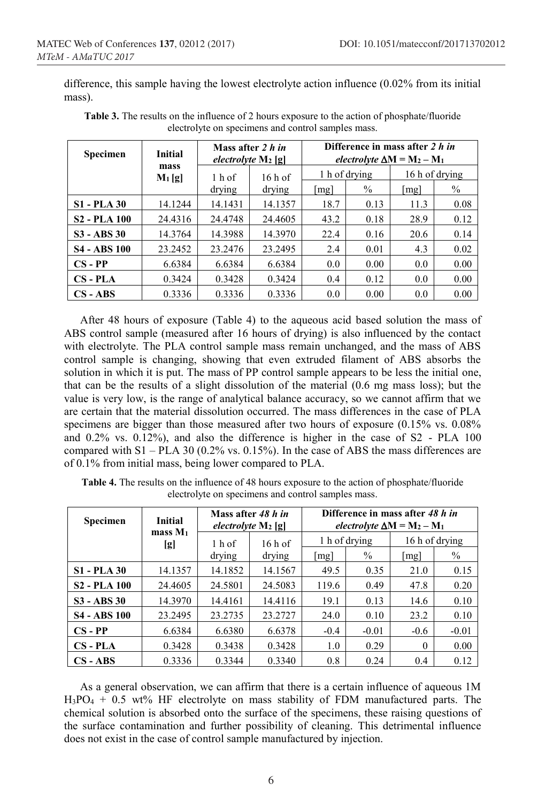difference, this sample having the lowest electrolyte action influence (0.02% from its initial mass).

| <b>Specimen</b>     | <b>Initial</b>   | Mass after 2 h in<br>electrolyte $M_2$ [g] |                    | Difference in mass after 2 h in<br>electrolyte $\Delta M = M_2 - M_1$ |      |                      |               |
|---------------------|------------------|--------------------------------------------|--------------------|-----------------------------------------------------------------------|------|----------------------|---------------|
|                     | mass<br>$M_1[g]$ | $1h$ of                                    | $16h$ of<br>drying | 1 h of drying                                                         |      | 16 h of drying       |               |
|                     |                  | drying                                     |                    | mg                                                                    | $\%$ | $\lfloor mg \rfloor$ | $\frac{0}{0}$ |
| <b>S1 - PLA 30</b>  | 14.1244          | 14.1431                                    | 14.1357            | 18.7                                                                  | 0.13 | 11.3                 | 0.08          |
| <b>S2 - PLA 100</b> | 24.4316          | 24.4748                                    | 24.4605            | 43.2                                                                  | 0.18 | 28.9                 | 0.12          |
| $S3 - ABS30$        | 14.3764          | 14.3988                                    | 14.3970            | 22.4                                                                  | 0.16 | 20.6                 | 0.14          |
| <b>S4 - ABS 100</b> | 23.2452          | 23.2476                                    | 23.2495            | 2.4                                                                   | 0.01 | 4.3                  | 0.02          |
| $CS - PP$           | 6.6384           | 6.6384                                     | 6.6384             | 0.0                                                                   | 0.00 | 0.0                  | 0.00          |
| $CS$ - $PLA$        | 0.3424           | 0.3428                                     | 0.3424             | 0.4                                                                   | 0.12 | 0.0                  | 0.00          |
| $CS - ABS$          | 0.3336           | 0.3336                                     | 0.3336             | 0.0                                                                   | 0.00 | 0.0                  | 0.00          |

**Table 3.** The results on the influence of 2 hours exposure to the action of phosphate/fluoride electrolyte on specimens and control samples mass.

After 48 hours of exposure (Table 4) to the aqueous acid based solution the mass of ABS control sample (measured after 16 hours of drying) is also influenced by the contact with electrolyte. The PLA control sample mass remain unchanged, and the mass of ABS control sample is changing, showing that even extruded filament of ABS absorbs the solution in which it is put. The mass of PP control sample appears to be less the initial one, that can be the results of a slight dissolution of the material (0.6 mg mass loss); but the value is very low, is the range of analytical balance accuracy, so we cannot affirm that we are certain that the material dissolution occurred. The mass differences in the case of PLA specimens are bigger than those measured after two hours of exposure (0.15% vs. 0.08% and 0.2% vs. 0.12%), and also the difference is higher in the case of S2 - PLA 100 compared with S1 – PLA 30 (0.2% vs. 0.15%). In the case of ABS the mass differences are of 0.1% from initial mass, being lower compared to PLA.

| Specimen            | <b>Initial</b>             | Mass after 48 h in<br>electrolyte $M_2$ [g] |         | Difference in mass after 48 h in<br>electrolyte $\Delta M = M_2 - M_1$ |         |                |         |
|---------------------|----------------------------|---------------------------------------------|---------|------------------------------------------------------------------------|---------|----------------|---------|
|                     | mass M <sub>1</sub><br>[g] | $16h$ of<br>$1h$ of                         |         | 1 h of drying                                                          |         | 16 h of drying |         |
|                     |                            | drying                                      | drying  | mg                                                                     | $\%$    | mg             | $\%$    |
| <b>S1 - PLA 30</b>  | 14.1357                    | 14.1852                                     | 14.1567 | 49.5                                                                   | 0.35    | 21.0           | 0.15    |
| <b>S2 - PLA 100</b> | 24.4605                    | 24.5801                                     | 24.5083 | 119.6                                                                  | 0.49    | 47.8           | 0.20    |
| $S3 - ABS30$        | 14.3970                    | 14.4161                                     | 14.4116 | 19.1                                                                   | 0.13    | 14.6           | 0.10    |
| <b>S4 - ABS 100</b> | 23.2495                    | 23.2735                                     | 23.2727 | 24.0                                                                   | 0.10    | 23.2           | 0.10    |
| $CS - PP$           | 6.6384                     | 6.6380                                      | 6.6378  | $-0.4$                                                                 | $-0.01$ | $-0.6$         | $-0.01$ |
| $CS$ - $PLA$        | 0.3428                     | 0.3438                                      | 0.3428  | 1.0                                                                    | 0.29    | $\Omega$       | 0.00    |
| $CS - ABS$          | 0.3336                     | 0.3344                                      | 0.3340  | 0.8                                                                    | 0.24    | 0.4            | 0.12    |

**Table 4.** The results on the influence of 48 hours exposure to the action of phosphate/fluoride electrolyte on specimens and control samples mass.

As a general observation, we can affirm that there is a certain influence of aqueous 1M  $H_3PO_4 + 0.5$  wt% HF electrolyte on mass stability of FDM manufactured parts. The chemical solution is absorbed onto the surface of the specimens, these raising questions of the surface contamination and further possibility of cleaning. This detrimental influence does not exist in the case of control sample manufactured by injection.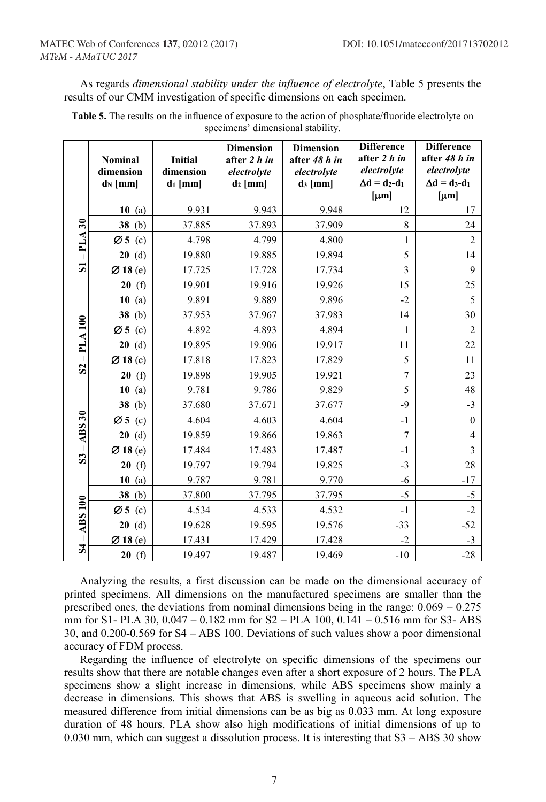As regards *dimensional stability under the influence of electrolyte*, Table 5 presents the results of our CMM investigation of specific dimensions on each specimen.

|                                | <b>Nominal</b><br>dimension<br>$d_N$ [mm] | <b>Initial</b><br>dimension<br>$d_1$ [mm] | <b>Dimension</b><br>after 2 h in<br>electrolyte<br>$d_2$ [mm] | <b>Dimension</b><br>after 48 h in<br>electrolyte<br>$d_3$ [mm] | <b>Difference</b><br>after 2 h in<br>electrolyte<br>$\Delta d = d_2 - d_1$<br>$[\mu m]$ | <b>Difference</b><br>after 48 h in<br>electrolyte<br>$\Delta d = d_3-d_1$<br>$[\mu m]$ |
|--------------------------------|-------------------------------------------|-------------------------------------------|---------------------------------------------------------------|----------------------------------------------------------------|-----------------------------------------------------------------------------------------|----------------------------------------------------------------------------------------|
|                                | 10<br>(a)                                 | 9.931                                     | 9.943                                                         | 9.948                                                          | 12                                                                                      | 17                                                                                     |
| $\overline{\mathbf{30}}$       | 38(b)                                     | 37.885                                    | 37.893                                                        | 37.909                                                         | 8                                                                                       | 24                                                                                     |
| PLA                            | $\varnothing$ 5 (c)                       | 4.798                                     | 4.799                                                         | 4.800                                                          | 1                                                                                       | $\overline{2}$                                                                         |
|                                | 20(d)                                     | 19.880                                    | 19.885                                                        | 19.894                                                         | 5                                                                                       | 14                                                                                     |
| $\overline{\mathbf{S}}$        | Ø18(e)                                    | 17.725                                    | 17.728                                                        | 17.734                                                         | $\overline{\mathbf{3}}$                                                                 | 9                                                                                      |
|                                | (f)<br>20                                 | 19.901                                    | 19.916                                                        | 19.926                                                         | 15                                                                                      | 25                                                                                     |
|                                | 10<br>(a)                                 | 9.891                                     | 9.889                                                         | 9.896                                                          | $-2$                                                                                    | 5                                                                                      |
|                                | 38(b)                                     | 37.953                                    | 37.967                                                        | 37.983                                                         | 14                                                                                      | 30                                                                                     |
| PLA100<br>$\mathbf{S}$         | Ø5<br>(c)                                 | 4.892                                     | 4.893                                                         | 4.894                                                          | 1                                                                                       | $\overline{2}$                                                                         |
|                                | 20(d)                                     | 19.895                                    | 19.906                                                        | 19.917                                                         | 11                                                                                      | 22                                                                                     |
|                                | Ø18(e)                                    | 17.818                                    | 17.823                                                        | 17.829                                                         | 5                                                                                       | 11                                                                                     |
|                                | 20(f)                                     | 19.898                                    | 19.905                                                        | 19.921                                                         | 7                                                                                       | 23                                                                                     |
|                                | 10(a)                                     | 9.781                                     | 9.786                                                         | 9.829                                                          | 5                                                                                       | 48                                                                                     |
|                                | 38(b)                                     | 37.680                                    | 37.671                                                        | 37.677                                                         | $-9$                                                                                    | $-3$                                                                                   |
| $\overline{ABS}30$             | $\varnothing$ 5 (c)                       | 4.604                                     | 4.603                                                         | 4.604                                                          | $-1$                                                                                    | $\mathbf{0}$                                                                           |
|                                | 20(d)                                     | 19.859                                    | 19.866                                                        | 19.863                                                         | 7                                                                                       | $\overline{4}$                                                                         |
|                                | Ø18(e)                                    | 17.484                                    | 17.483                                                        | 17.487                                                         | $-1$                                                                                    | 3                                                                                      |
| S <sub>3</sub>                 | 20<br>(f)                                 | 19.797                                    | 19.794                                                        | 19.825                                                         | $-3$                                                                                    | 28                                                                                     |
| <b>ABS 100</b><br>$\mathbf{z}$ | 10(a)                                     | 9.787                                     | 9.781                                                         | 9.770                                                          | $-6$                                                                                    | $-17$                                                                                  |
|                                | 38(b)                                     | 37.800                                    | 37.795                                                        | 37.795                                                         | $-5$                                                                                    | $-5$                                                                                   |
|                                | Ø 5 $(c)$                                 | 4.534                                     | 4.533                                                         | 4.532                                                          | $-1$                                                                                    | $-2$                                                                                   |
|                                | 20(d)                                     | 19.628                                    | 19.595                                                        | 19.576                                                         | $-33$                                                                                   | $-52$                                                                                  |
|                                | Ø18(e)                                    | 17.431                                    | 17.429                                                        | 17.428                                                         | $-2$                                                                                    | $-3$                                                                                   |
|                                | 20(f)                                     | 19.497                                    | 19.487                                                        | 19.469                                                         | $-10$                                                                                   | $-28$                                                                                  |

**Table 5.** The results on the influence of exposure to the action of phosphate/fluoride electrolyte on specimens' dimensional stability.

Analyzing the results, a first discussion can be made on the dimensional accuracy of printed specimens. All dimensions on the manufactured specimens are smaller than the prescribed ones, the deviations from nominal dimensions being in the range: 0.069 – 0.275 mm for S1- PLA 30, 0.047 – 0.182 mm for S2 – PLA 100, 0.141 – 0.516 mm for S3- ABS 30, and 0.200-0.569 for S4 – ABS 100. Deviations of such values show a poor dimensional accuracy of FDM process.

Regarding the influence of electrolyte on specific dimensions of the specimens our results show that there are notable changes even after a short exposure of 2 hours. The PLA specimens show a slight increase in dimensions, while ABS specimens show mainly a decrease in dimensions. This shows that ABS is swelling in aqueous acid solution. The measured difference from initial dimensions can be as big as 0.033 mm. At long exposure duration of 48 hours, PLA show also high modifications of initial dimensions of up to 0.030 mm, which can suggest a dissolution process. It is interesting that  $S3 - ABS30$  show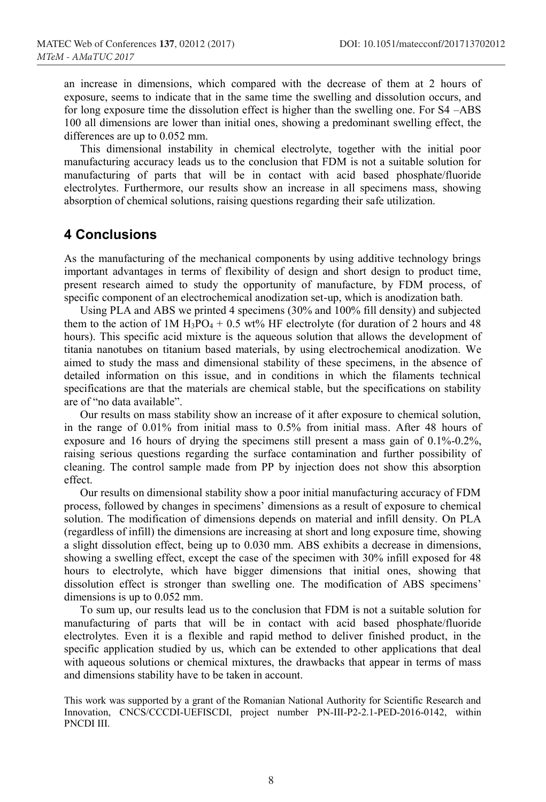an increase in dimensions, which compared with the decrease of them at 2 hours of exposure, seems to indicate that in the same time the swelling and dissolution occurs, and for long exposure time the dissolution effect is higher than the swelling one. For S4 –ABS 100 all dimensions are lower than initial ones, showing a predominant swelling effect, the differences are up to 0.052 mm.

This dimensional instability in chemical electrolyte, together with the initial poor manufacturing accuracy leads us to the conclusion that FDM is not a suitable solution for manufacturing of parts that will be in contact with acid based phosphate/fluoride electrolytes. Furthermore, our results show an increase in all specimens mass, showing absorption of chemical solutions, raising questions regarding their safe utilization.

## **4 Conclusions**

As the manufacturing of the mechanical components by using additive technology brings important advantages in terms of flexibility of design and short design to product time, present research aimed to study the opportunity of manufacture, by FDM process, of specific component of an electrochemical anodization set-up, which is anodization bath.

Using PLA and ABS we printed 4 specimens (30% and 100% fill density) and subjected them to the action of 1M H<sub>3</sub>PO<sub>4</sub> + 0.5 wt% HF electrolyte (for duration of 2 hours and 48 hours). This specific acid mixture is the aqueous solution that allows the development of titania nanotubes on titanium based materials, by using electrochemical anodization. We aimed to study the mass and dimensional stability of these specimens, in the absence of detailed information on this issue, and in conditions in which the filaments technical specifications are that the materials are chemical stable, but the specifications on stability are of "no data available".

Our results on mass stability show an increase of it after exposure to chemical solution, in the range of 0.01% from initial mass to 0.5% from initial mass. After 48 hours of exposure and 16 hours of drying the specimens still present a mass gain of 0.1%-0.2%, raising serious questions regarding the surface contamination and further possibility of cleaning. The control sample made from PP by injection does not show this absorption effect.

Our results on dimensional stability show a poor initial manufacturing accuracy of FDM process, followed by changes in specimens' dimensions as a result of exposure to chemical solution. The modification of dimensions depends on material and infill density. On PLA (regardless of infill) the dimensions are increasing at short and long exposure time, showing a slight dissolution effect, being up to 0.030 mm. ABS exhibits a decrease in dimensions, showing a swelling effect, except the case of the specimen with 30% infill exposed for 48 hours to electrolyte, which have bigger dimensions that initial ones, showing that dissolution effect is stronger than swelling one. The modification of ABS specimens' dimensions is up to 0.052 mm.

To sum up, our results lead us to the conclusion that FDM is not a suitable solution for manufacturing of parts that will be in contact with acid based phosphate/fluoride electrolytes. Even it is a flexible and rapid method to deliver finished product, in the specific application studied by us, which can be extended to other applications that deal with aqueous solutions or chemical mixtures, the drawbacks that appear in terms of mass and dimensions stability have to be taken in account.

This work was supported by a grant of the Romanian National Authority for Scientific Research and Innovation, CNCS/CCCDI-UEFISCDI, project number PN-III-P2-2.1-PED-2016-0142, within PNCDI III.